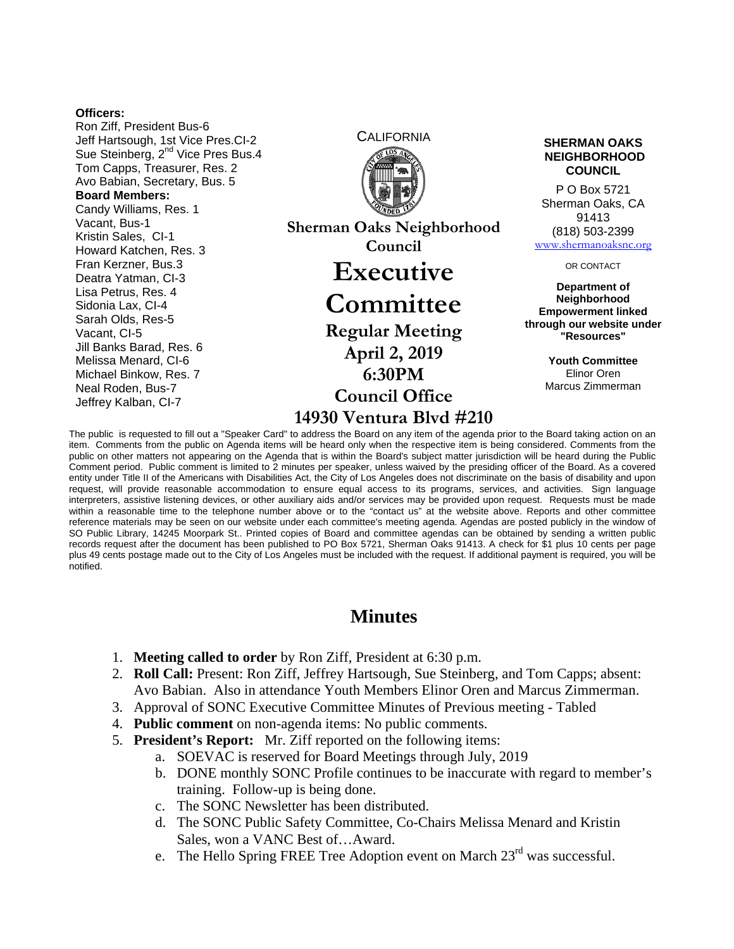#### **Officers:**

Ron Ziff, President Bus-6 Jeff Hartsough, 1st Vice Pres.CI-2 Sue Steinberg, 2<sup>nd</sup> Vice Pres Bus.4 Tom Capps, Treasurer, Res. 2 Avo Babian, Secretary, Bus. 5 **Board Members:**  Candy Williams, Res. 1 Vacant, Bus-1 Kristin Sales, CI-1 Howard Katchen, Res. 3 Fran Kerzner, Bus.3 Deatra Yatman, CI-3 Lisa Petrus, Res. 4 Sidonia Lax, CI-4 Sarah Olds, Res-5 Vacant, CI-5 Jill Banks Barad, Res. 6 Melissa Menard, CI-6 Michael Binkow, Res. 7 Neal Roden, Bus-7 Jeffrey Kalban, CI-7

**Sherman Oaks Neighborhood Council Executive Committee Regular Meeting April 2, 2019 6:30PM** 

**Council Office 14930 Ventura Blvd #210**

CALIFORNIA **SHERMAN OAKS NEIGHBORHOOD COUNCIL**

> P O Box 5721 Sherman Oaks, CA 91413 (818) 503-2399 www.shermanoaksnc.org

> > OR CONTACT

**Department of Neighborhood Empowerment linked through our website under "Resources"** 

> **Youth Committee**  Elinor Oren Marcus Zimmerman

The public is requested to fill out a "Speaker Card" to address the Board on any item of the agenda prior to the Board taking action on an item. Comments from the public on Agenda items will be heard only when the respective item is being considered. Comments from the public on other matters not appearing on the Agenda that is within the Board's subject matter jurisdiction will be heard during the Public Comment period. Public comment is limited to 2 minutes per speaker, unless waived by the presiding officer of the Board. As a covered entity under Title II of the Americans with Disabilities Act, the City of Los Angeles does not discriminate on the basis of disability and upon request, will provide reasonable accommodation to ensure equal access to its programs, services, and activities. Sign language interpreters, assistive listening devices, or other auxiliary aids and/or services may be provided upon request. Requests must be made within a reasonable time to the telephone number above or to the "contact us" at the website above. Reports and other committee reference materials may be seen on our website under each committee's meeting agenda. Agendas are posted publicly in the window of SO Public Library, 14245 Moorpark St.. Printed copies of Board and committee agendas can be obtained by sending a written public records request after the document has been published to PO Box 5721, Sherman Oaks 91413. A check for \$1 plus 10 cents per page plus 49 cents postage made out to the City of Los Angeles must be included with the request. If additional payment is required, you will be notified.

# **Minutes**

- 1. **Meeting called to order** by Ron Ziff, President at 6:30 p.m.
- 2. **Roll Call:** Present: Ron Ziff, Jeffrey Hartsough, Sue Steinberg, and Tom Capps; absent: Avo Babian. Also in attendance Youth Members Elinor Oren and Marcus Zimmerman.
- 3. Approval of SONC Executive Committee Minutes of Previous meeting Tabled
- 4. **Public comment** on non-agenda items: No public comments.
- 5. **President's Report:** Mr. Ziff reported on the following items:
	- a. SOEVAC is reserved for Board Meetings through July, 2019
	- b. DONE monthly SONC Profile continues to be inaccurate with regard to member's training. Follow-up is being done.
	- c. The SONC Newsletter has been distributed.
	- d. The SONC Public Safety Committee, Co-Chairs Melissa Menard and Kristin Sales, won a VANC Best of…Award.
	- e. The Hello Spring FREE Tree Adoption event on March 23<sup>rd</sup> was successful.